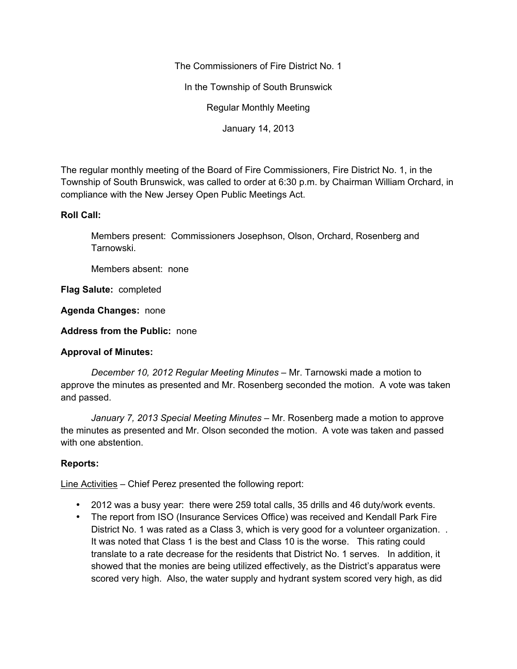The Commissioners of Fire District No. 1

In the Township of South Brunswick

Regular Monthly Meeting

January 14, 2013

The regular monthly meeting of the Board of Fire Commissioners, Fire District No. 1, in the Township of South Brunswick, was called to order at 6:30 p.m. by Chairman William Orchard, in compliance with the New Jersey Open Public Meetings Act.

#### **Roll Call:**

Members present: Commissioners Josephson, Olson, Orchard, Rosenberg and Tarnowski.

Members absent: none

**Flag Salute:** completed

**Agenda Changes:** none

**Address from the Public:** none

# **Approval of Minutes:**

*December 10, 2012 Regular Meeting Minutes –* Mr. Tarnowski made a motion to approve the minutes as presented and Mr. Rosenberg seconded the motion. A vote was taken and passed.

*January 7, 2013 Special Meeting Minutes –* Mr. Rosenberg made a motion to approve the minutes as presented and Mr. Olson seconded the motion. A vote was taken and passed with one abstention.

# **Reports:**

Line Activities – Chief Perez presented the following report:

- 2012 was a busy year: there were 259 total calls, 35 drills and 46 duty/work events.
- The report from ISO (Insurance Services Office) was received and Kendall Park Fire District No. 1 was rated as a Class 3, which is very good for a volunteer organization. . It was noted that Class 1 is the best and Class 10 is the worse. This rating could translate to a rate decrease for the residents that District No. 1 serves. In addition, it showed that the monies are being utilized effectively, as the District's apparatus were scored very high. Also, the water supply and hydrant system scored very high, as did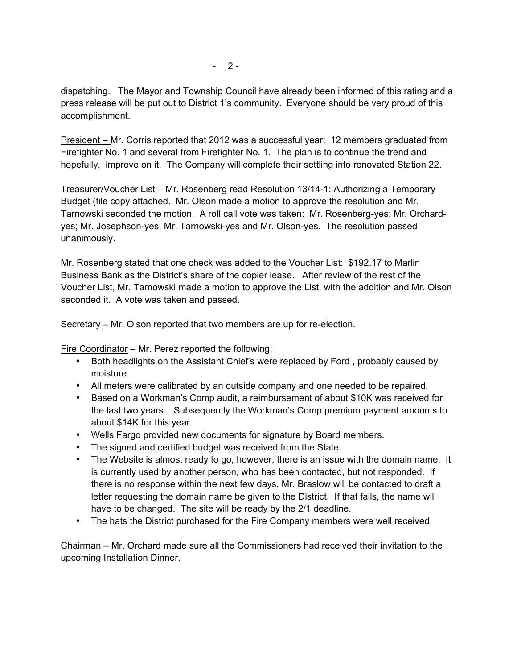dispatching. The Mayor and Township Council have already been informed of this rating and a press release will be put out to District 1's community. Everyone should be very proud of this accomplishment.

President – Mr. Corris reported that 2012 was a successful year: 12 members graduated from Firefighter No. 1 and several from Firefighter No. 1. The plan is to continue the trend and hopefully, improve on it. The Company will complete their settling into renovated Station 22.

Treasurer/Voucher List – Mr. Rosenberg read Resolution 13/14-1: Authorizing a Temporary Budget (file copy attached. Mr. Olson made a motion to approve the resolution and Mr. Tarnowski seconded the motion. A roll call vote was taken: Mr. Rosenberg-yes; Mr. Orchardyes; Mr. Josephson-yes, Mr. Tarnowski-yes and Mr. Olson-yes. The resolution passed unanimously.

Mr. Rosenberg stated that one check was added to the Voucher List: \$192.17 to Marlin Business Bank as the District's share of the copier lease. After review of the rest of the Voucher List, Mr. Tarnowski made a motion to approve the List, with the addition and Mr. Olson seconded it. A vote was taken and passed.

Secretary – Mr. Olson reported that two members are up for re-election.

Fire Coordinator – Mr. Perez reported the following:

- Both headlights on the Assistant Chief's were replaced by Ford , probably caused by moisture.
- All meters were calibrated by an outside company and one needed to be repaired.
- Based on a Workman's Comp audit, a reimbursement of about \$10K was received for the last two years. Subsequently the Workman's Comp premium payment amounts to about \$14K for this year.
- Wells Fargo provided new documents for signature by Board members.
- The signed and certified budget was received from the State.
- The Website is almost ready to go, however, there is an issue with the domain name. It is currently used by another person, who has been contacted, but not responded. If there is no response within the next few days, Mr. Braslow will be contacted to draft a letter requesting the domain name be given to the District. If that fails, the name will have to be changed. The site will be ready by the 2/1 deadline.
- The hats the District purchased for the Fire Company members were well received.

Chairman – Mr. Orchard made sure all the Commissioners had received their invitation to the upcoming Installation Dinner.